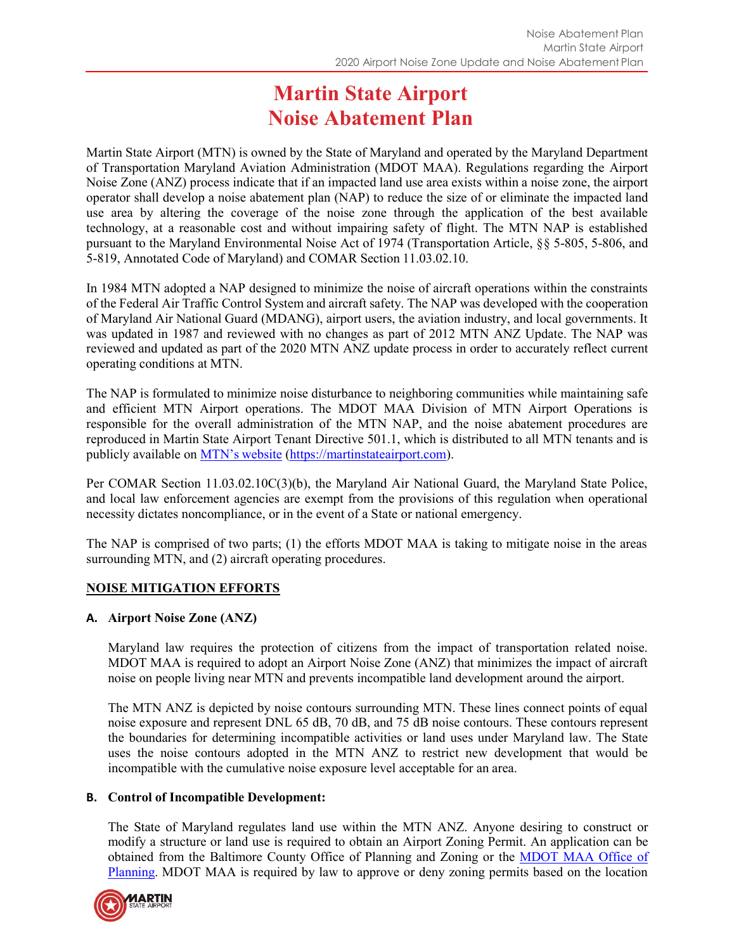# **Martin State Airport Noise Abatement Plan**

Martin State Airport (MTN) is owned by the State of Maryland and operated by the Maryland Department of Transportation Maryland Aviation Administration (MDOT MAA). Regulations regarding the Airport Noise Zone (ANZ) process indicate that if an impacted land use area exists within a noise zone, the airport operator shall develop a noise abatement plan (NAP) to reduce the size of or eliminate the impacted land use area by altering the coverage of the noise zone through the application of the best available technology, at a reasonable cost and without impairing safety of flight. The MTN NAP is established pursuant to the Maryland Environmental Noise Act of 1974 (Transportation Article, §§ 5-805, 5-806, and 5-819, Annotated Code of Maryland) and COMAR Section 11.03.02.10.

In 1984 MTN adopted a NAP designed to minimize the noise of aircraft operations within the constraints of the Federal Air Traffic Control System and aircraft safety. The NAP was developed with the cooperation of Maryland Air National Guard (MDANG), airport users, the aviation industry, and local governments. It was updated in 1987 and reviewed with no changes as part of 2012 MTN ANZ Update. The NAP was reviewed and updated as part of the 2020 MTN ANZ update process in order to accurately reflect current operating conditions at MTN.

The NAP is formulated to minimize noise disturbance to neighboring communities while maintaining safe and efficient MTN Airport operations. The MDOT MAA Division of MTN Airport Operations is responsible for the overall administration of the MTN NAP, and the noise abatement procedures are reproduced in Martin State Airport Tenant Directive 501.1, which is distributed to all MTN tenants and is publicly available on MTN's [website](https://martinstateairport.com/noise-abatement/) [\(https://martinstateairport.com\)](https://martinstateairport.com/).

Per COMAR Section 11.03.02.10C(3)(b), the Maryland Air National Guard, the Maryland State Police, and local law enforcement agencies are exempt from the provisions of this regulation when operational necessity dictates noncompliance, or in the event of a State or national emergency.

The NAP is comprised of two parts; (1) the efforts MDOT MAA is taking to mitigate noise in the areas surrounding MTN, and (2) aircraft operating procedures.

## **NOISE MITIGATION EFFORTS**

## **A. Airport Noise Zone (ANZ)**

Maryland law requires the protection of citizens from the impact of transportation related noise. MDOT MAA is required to adopt an Airport Noise Zone (ANZ) that minimizes the impact of aircraft noise on people living near MTN and prevents incompatible land development around the airport.

The MTN ANZ is depicted by noise contours surrounding MTN. These lines connect points of equal noise exposure and represent DNL 65 dB, 70 dB, and 75 dB noise contours. These contours represent the boundaries for determining incompatible activities or land uses under Maryland law. The State uses the noise contours adopted in the MTN ANZ to restrict new development that would be incompatible with the cumulative noise exposure level acceptable for an area.

## **B. Control of Incompatible Development:**

The State of Maryland regulates land use within the MTN ANZ. Anyone desiring to construct or modify a structure or land use is required to obtain an Airport Zoning Permit. An application can be obtained from the Baltimore County Office of Planning and Zoning or the **[MDOT](https://marylandaviation.com/permits-forms/) MAA Office of** [Planning.](https://marylandaviation.com/permits-forms/) MDOT MAA is required by law to approve or deny zoning permits based on the location

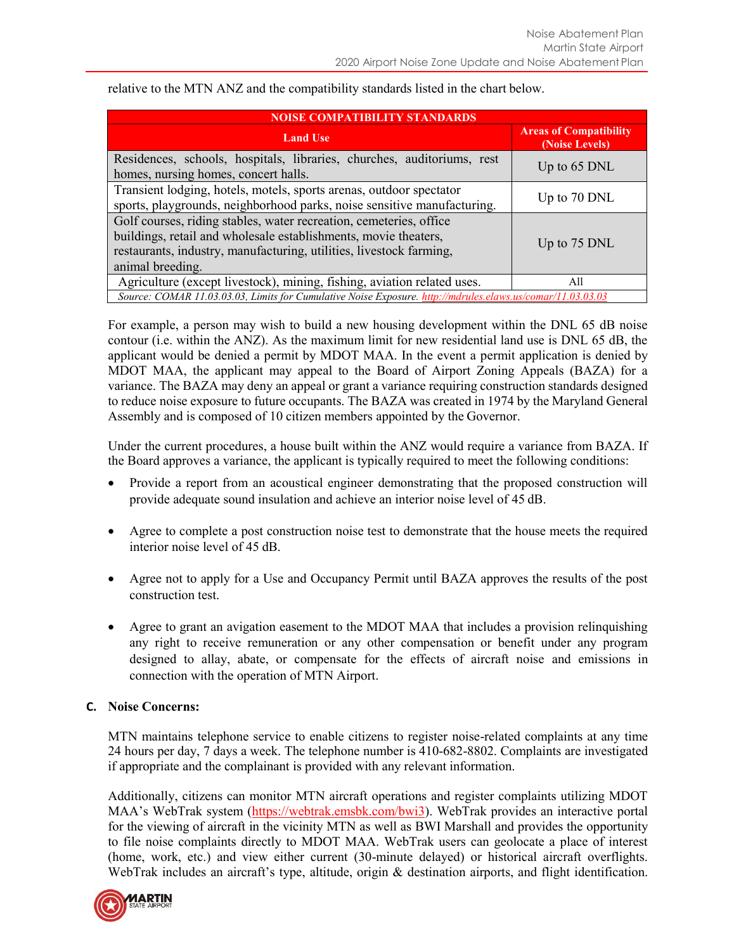| <b>NOISE COMPATIBILITY STANDARDS</b>                                                                                                                                                                                             |                                                 |  |
|----------------------------------------------------------------------------------------------------------------------------------------------------------------------------------------------------------------------------------|-------------------------------------------------|--|
| <b>Land Use</b>                                                                                                                                                                                                                  | <b>Areas of Compatibility</b><br>(Noise Levels) |  |
| Residences, schools, hospitals, libraries, churches, auditoriums, rest<br>homes, nursing homes, concert halls.                                                                                                                   | Up to $65$ DNL                                  |  |
| Transient lodging, hotels, motels, sports arenas, outdoor spectator<br>sports, playgrounds, neighborhood parks, noise sensitive manufacturing.                                                                                   | Up to 70 DNL                                    |  |
| Golf courses, riding stables, water recreation, cemeteries, office<br>buildings, retail and wholesale establishments, movie theaters,<br>restaurants, industry, manufacturing, utilities, livestock farming,<br>animal breeding. | Up to 75 DNL                                    |  |
| Agriculture (except livestock), mining, fishing, aviation related uses.                                                                                                                                                          | All                                             |  |
| Source: COMAR 11.03.03.03, Limits for Cumulative Noise Exposure. http://mdrules.elaws.us/comar/11.03.03.03                                                                                                                       |                                                 |  |

relative to the MTN ANZ and the compatibility standards listed in the chart below.

For example, a person may wish to build a new housing development within the DNL 65 dB noise contour (i.e. within the ANZ). As the maximum limit for new residential land use is DNL 65 dB, the applicant would be denied a permit by MDOT MAA. In the event a permit application is denied by MDOT MAA, the applicant may appeal to the Board of Airport Zoning Appeals (BAZA) for a variance. The BAZA may deny an appeal or grant a variance requiring construction standards designed to reduce noise exposure to future occupants. The BAZA was created in 1974 by the Maryland General Assembly and is composed of 10 citizen members appointed by the Governor.

Under the current procedures, a house built within the ANZ would require a variance from BAZA. If the Board approves a variance, the applicant is typically required to meet the following conditions:

- Provide a report from an acoustical engineer demonstrating that the proposed construction will provide adequate sound insulation and achieve an interior noise level of 45 dB.
- Agree to complete a post construction noise test to demonstrate that the house meets the required interior noise level of 45 dB.
- Agree not to apply for a Use and Occupancy Permit until BAZA approves the results of the post construction test.
- Agree to grant an avigation easement to the MDOT MAA that includes a provision relinquishing any right to receive remuneration or any other compensation or benefit under any program designed to allay, abate, or compensate for the effects of aircraft noise and emissions in connection with the operation of MTN Airport.

#### **C. Noise Concerns:**

MTN maintains telephone service to enable citizens to register noise-related complaints at any time 24 hours per day, 7 days a week. The telephone number is 410-682-8802. Complaints are investigated if appropriate and the complainant is provided with any relevant information.

Additionally, citizens can monitor MTN aircraft operations and register complaints utilizing MDOT MAA's WebTrak system ([https://webtrak.emsbk.com/bwi3\)](https://webtrak.emsbk.com/bwi3). WebTrak provides an interactive portal for the viewing of aircraft in the vicinity MTN as well as BWI Marshall and provides the opportunity to file noise complaints directly to MDOT MAA. WebTrak users can geolocate a place of interest (home, work, etc.) and view either current (30-minute delayed) or historical aircraft overflights. WebTrak includes an aircraft's type, altitude, origin & destination airports, and flight identification.

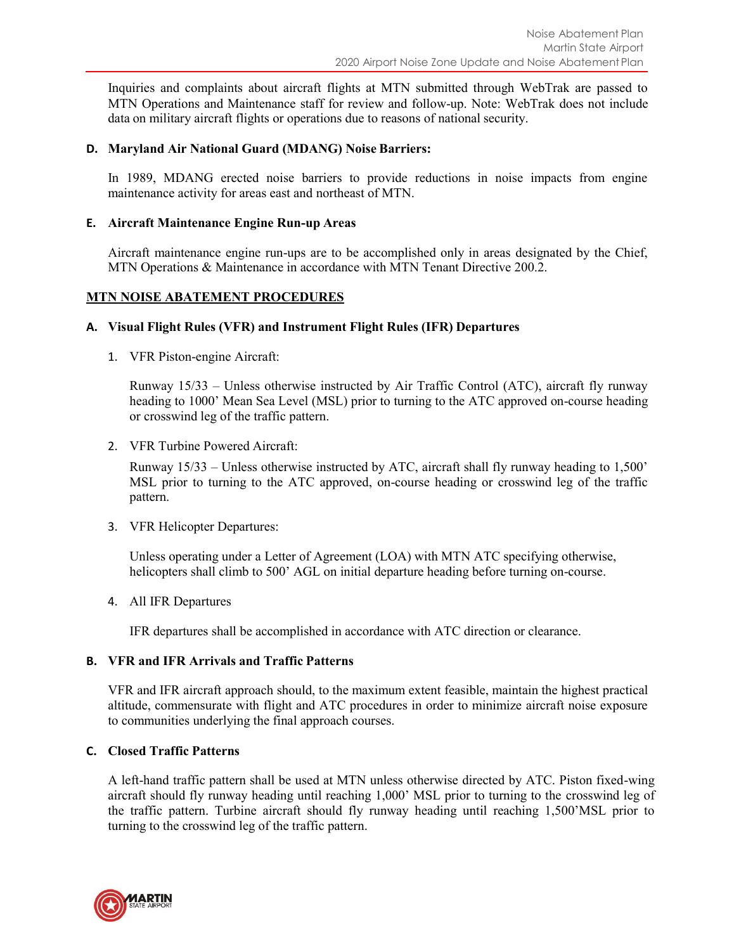Inquiries and complaints about aircraft flights at MTN submitted through WebTrak are passed to MTN Operations and Maintenance staff for review and follow-up. Note: WebTrak does not include data on military aircraft flights or operations due to reasons of national security.

#### **D. Maryland Air National Guard (MDANG) Noise Barriers:**

In 1989, MDANG erected noise barriers to provide reductions in noise impacts from engine maintenance activity for areas east and northeast of MTN.

#### **E. Aircraft Maintenance Engine Run-up Areas**

Aircraft maintenance engine run-ups are to be accomplished only in areas designated by the Chief, MTN Operations & Maintenance in accordance with MTN Tenant Directive 200.2.

#### **MTN NOISE ABATEMENT PROCEDURES**

#### **A. Visual Flight Rules (VFR) and Instrument Flight Rules (IFR) Departures**

1. VFR Piston-engine Aircraft:

Runway 15/33 – Unless otherwise instructed by Air Traffic Control (ATC), aircraft fly runway heading to 1000' Mean Sea Level (MSL) prior to turning to the ATC approved on-course heading or crosswind leg of the traffic pattern.

2. VFR Turbine Powered Aircraft:

Runway 15/33 – Unless otherwise instructed by ATC, aircraft shall fly runway heading to 1,500' MSL prior to turning to the ATC approved, on-course heading or crosswind leg of the traffic pattern.

3. VFR Helicopter Departures:

Unless operating under a Letter of Agreement (LOA) with MTN ATC specifying otherwise, helicopters shall climb to 500' AGL on initial departure heading before turning on-course.

4. All IFR Departures

IFR departures shall be accomplished in accordance with ATC direction or clearance.

## **B. VFR and IFR Arrivals and Traffic Patterns**

VFR and IFR aircraft approach should, to the maximum extent feasible, maintain the highest practical altitude, commensurate with flight and ATC procedures in order to minimize aircraft noise exposure to communities underlying the final approach courses.

## **C. Closed Traffic Patterns**

A left-hand traffic pattern shall be used at MTN unless otherwise directed by ATC. Piston fixed-wing aircraft should fly runway heading until reaching 1,000' MSL prior to turning to the crosswind leg of the traffic pattern. Turbine aircraft should fly runway heading until reaching 1,500'MSL prior to turning to the crosswind leg of the traffic pattern.